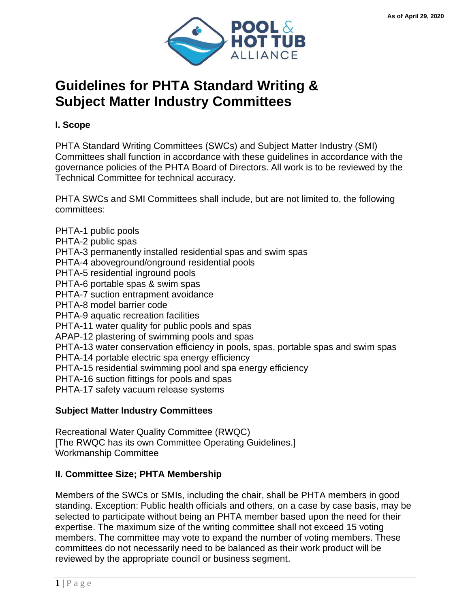

# **Guidelines for PHTA Standard Writing & Subject Matter Industry Committees**

**I. Scope**

PHTA Standard Writing Committees (SWCs) and Subject Matter Industry (SMI) Committees shall function in accordance with these guidelines in accordance with the governance policies of the PHTA Board of Directors. All work is to be reviewed by the Technical Committee for technical accuracy.

PHTA SWCs and SMI Committees shall include, but are not limited to, the following committees:

PHTA-1 public pools PHTA-2 public spas PHTA-3 permanently installed residential spas and swim spas PHTA-4 aboveground/onground residential pools PHTA-5 residential inground pools PHTA-6 portable spas & swim spas PHTA-7 suction entrapment avoidance PHTA-8 model barrier code PHTA-9 aquatic recreation facilities PHTA-11 water quality for public pools and spas APAP-12 plastering of swimming pools and spas PHTA-13 water conservation efficiency in pools, spas, portable spas and swim spas PHTA-14 portable electric spa energy efficiency PHTA-15 residential swimming pool and spa energy efficiency PHTA-16 suction fittings for pools and spas PHTA-17 safety vacuum release systems

## **Subject Matter Industry Committees**

Recreational Water Quality Committee (RWQC) [The RWQC has its own Committee Operating Guidelines.] Workmanship Committee

## **II. Committee Size; PHTA Membership**

Members of the SWCs or SMIs, including the chair, shall be PHTA members in good standing. Exception: Public health officials and others, on a case by case basis, may be selected to participate without being an PHTA member based upon the need for their expertise. The maximum size of the writing committee shall not exceed 15 voting members. The committee may vote to expand the number of voting members. These committees do not necessarily need to be balanced as their work product will be reviewed by the appropriate council or business segment.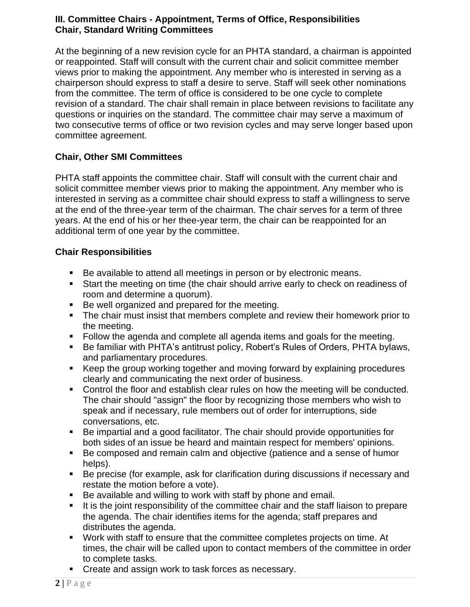#### **III. Committee Chairs - Appointment, Terms of Office, Responsibilities Chair, Standard Writing Committees**

At the beginning of a new revision cycle for an PHTA standard, a chairman is appointed or reappointed. Staff will consult with the current chair and solicit committee member views prior to making the appointment. Any member who is interested in serving as a chairperson should express to staff a desire to serve. Staff will seek other nominations from the committee. The term of office is considered to be one cycle to complete revision of a standard. The chair shall remain in place between revisions to facilitate any questions or inquiries on the standard. The committee chair may serve a maximum of two consecutive terms of office or two revision cycles and may serve longer based upon committee agreement.

## **Chair, Other SMI Committees**

PHTA staff appoints the committee chair. Staff will consult with the current chair and solicit committee member views prior to making the appointment. Any member who is interested in serving as a committee chair should express to staff a willingness to serve at the end of the three-year term of the chairman. The chair serves for a term of three years. At the end of his or her thee-year term, the chair can be reappointed for an additional term of one year by the committee.

#### **Chair Responsibilities**

- Be available to attend all meetings in person or by electronic means.
- Start the meeting on time (the chair should arrive early to check on readiness of room and determine a quorum).
- Be well organized and prepared for the meeting.
- The chair must insist that members complete and review their homework prior to the meeting.
- Follow the agenda and complete all agenda items and goals for the meeting.
- Be familiar with PHTA's antitrust policy, Robert's Rules of Orders, PHTA bylaws, and parliamentary procedures.
- Keep the group working together and moving forward by explaining procedures clearly and communicating the next order of business.
- Control the floor and establish clear rules on how the meeting will be conducted. The chair should "assign" the floor by recognizing those members who wish to speak and if necessary, rule members out of order for interruptions, side conversations, etc.
- Be impartial and a good facilitator. The chair should provide opportunities for both sides of an issue be heard and maintain respect for members' opinions.
- Be composed and remain calm and objective (patience and a sense of humor helps).
- Be precise (for example, ask for clarification during discussions if necessary and restate the motion before a vote).
- Be available and willing to work with staff by phone and email.
- **■** It is the joint responsibility of the committee chair and the staff liaison to prepare the agenda. The chair identifies items for the agenda; staff prepares and distributes the agenda.
- Work with staff to ensure that the committee completes projects on time. At times, the chair will be called upon to contact members of the committee in order to complete tasks.
- Create and assign work to task forces as necessary.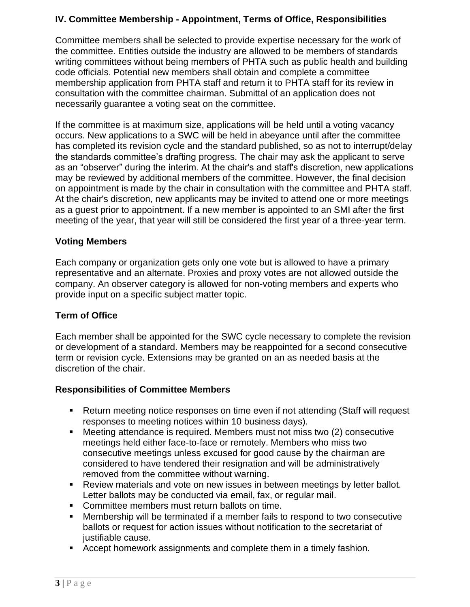# **IV. Committee Membership - Appointment, Terms of Office, Responsibilities**

Committee members shall be selected to provide expertise necessary for the work of the committee. Entities outside the industry are allowed to be members of standards writing committees without being members of PHTA such as public health and building code officials. Potential new members shall obtain and complete a committee membership application from PHTA staff and return it to PHTA staff for its review in consultation with the committee chairman. Submittal of an application does not necessarily guarantee a voting seat on the committee.

If the committee is at maximum size, applications will be held until a voting vacancy occurs. New applications to a SWC will be held in abeyance until after the committee has completed its revision cycle and the standard published, so as not to interrupt/delay the standards committee's drafting progress. The chair may ask the applicant to serve as an "observer" during the interim. At the chair's and staff's discretion, new applications may be reviewed by additional members of the committee. However, the final decision on appointment is made by the chair in consultation with the committee and PHTA staff. At the chair's discretion, new applicants may be invited to attend one or more meetings as a guest prior to appointment. If a new member is appointed to an SMI after the first meeting of the year, that year will still be considered the first year of a three-year term.

#### **Voting Members**

Each company or organization gets only one vote but is allowed to have a primary representative and an alternate. Proxies and proxy votes are not allowed outside the company. An observer category is allowed for non-voting members and experts who provide input on a specific subject matter topic.

#### **Term of Office**

Each member shall be appointed for the SWC cycle necessary to complete the revision or development of a standard. Members may be reappointed for a second consecutive term or revision cycle. Extensions may be granted on an as needed basis at the discretion of the chair.

#### **Responsibilities of Committee Members**

- Return meeting notice responses on time even if not attending (Staff will request responses to meeting notices within 10 business days).
- Meeting attendance is required. Members must not miss two (2) consecutive meetings held either face-to-face or remotely. Members who miss two consecutive meetings unless excused for good cause by the chairman are considered to have tendered their resignation and will be administratively removed from the committee without warning.
- Review materials and vote on new issues in between meetings by letter ballot. Letter ballots may be conducted via email, fax, or regular mail.
- Committee members must return ballots on time.
- Membership will be terminated if a member fails to respond to two consecutive ballots or request for action issues without notification to the secretariat of justifiable cause.
- Accept homework assignments and complete them in a timely fashion.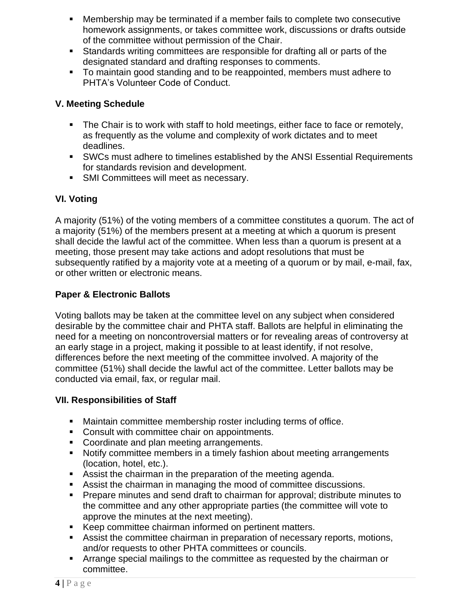- Membership may be terminated if a member fails to complete two consecutive homework assignments, or takes committee work, discussions or drafts outside of the committee without permission of the Chair.
- Standards writing committees are responsible for drafting all or parts of the designated standard and drafting responses to comments.
- To maintain good standing and to be reappointed, members must adhere to PHTA's Volunteer Code of Conduct.

# **V. Meeting Schedule**

- **•** The Chair is to work with staff to hold meetings, either face to face or remotely, as frequently as the volume and complexity of work dictates and to meet deadlines.
- SWCs must adhere to timelines established by the ANSI Essential Requirements for standards revision and development.
- SMI Committees will meet as necessary.

# **VI. Voting**

A majority (51%) of the voting members of a committee constitutes a quorum. The act of a majority (51%) of the members present at a meeting at which a quorum is present shall decide the lawful act of the committee. When less than a quorum is present at a meeting, those present may take actions and adopt resolutions that must be subsequently ratified by a majority vote at a meeting of a quorum or by mail, e-mail, fax, or other written or electronic means.

# **Paper & Electronic Ballots**

Voting ballots may be taken at the committee level on any subject when considered desirable by the committee chair and PHTA staff. Ballots are helpful in eliminating the need for a meeting on noncontroversial matters or for revealing areas of controversy at an early stage in a project, making it possible to at least identify, if not resolve, differences before the next meeting of the committee involved. A majority of the committee (51%) shall decide the lawful act of the committee. Letter ballots may be conducted via email, fax, or regular mail.

## **VII. Responsibilities of Staff**

- Maintain committee membership roster including terms of office.
- Consult with committee chair on appointments.
- Coordinate and plan meeting arrangements.
- Notify committee members in a timely fashion about meeting arrangements (location, hotel, etc.).
- Assist the chairman in the preparation of the meeting agenda.
- Assist the chairman in managing the mood of committee discussions.
- Prepare minutes and send draft to chairman for approval; distribute minutes to the committee and any other appropriate parties (the committee will vote to approve the minutes at the next meeting).
- Keep committee chairman informed on pertinent matters.
- Assist the committee chairman in preparation of necessary reports, motions, and/or requests to other PHTA committees or councils.
- Arrange special mailings to the committee as requested by the chairman or committee.